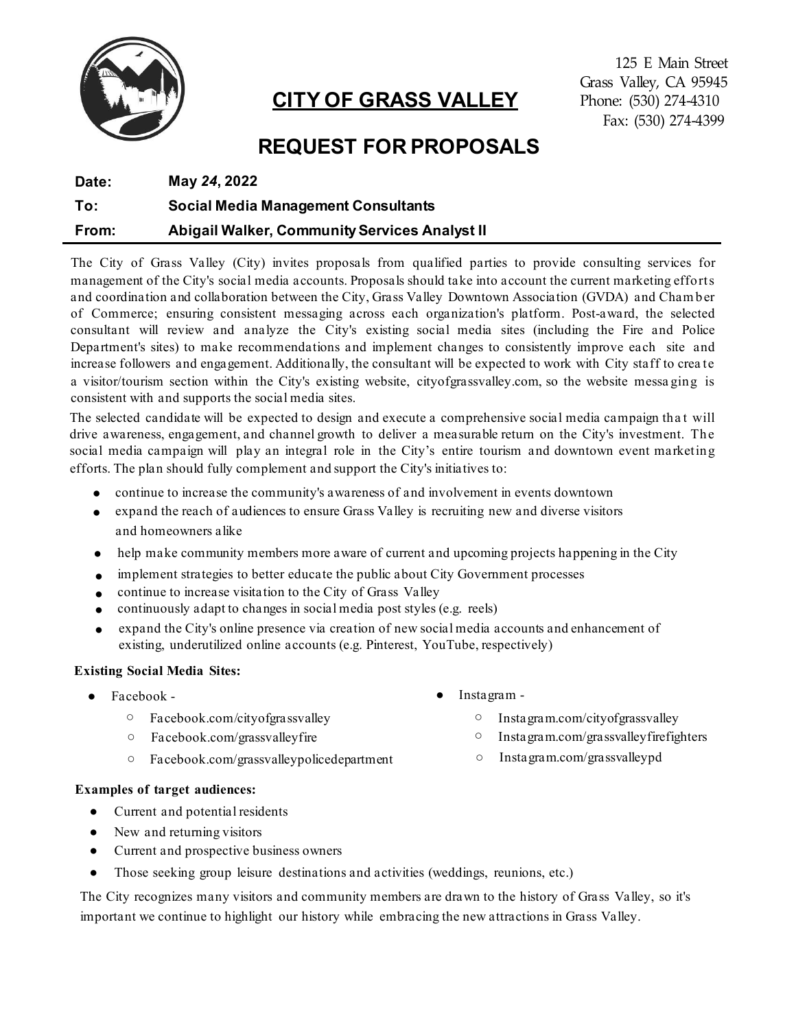

# **CITY OF GRASS VALLEY**

125 E Main Street Grass Valley, CA 95945 Phone: (530) 274-4310 Fax: (530) 274-4399

# **REQUEST FOR PROPOSALS**

| Date: | May 24, 2022                                         |
|-------|------------------------------------------------------|
| To:   | <b>Social Media Management Consultants</b>           |
| From: | <b>Abigail Walker, Community Services Analyst II</b> |

The City of Grass Valley (City) invites proposals from qualified parties to provide consulting services for management of the City's social media accounts. Proposals should take into account the current marketing efforts and coordination and collaboration between the City, Grass Valley Downtown Association (GVDA) and Cham ber of Commerce; ensuring consistent messaging across each organization's platform. Post-award, the selected consultant will review and analyze the City's existing social media sites (including the Fire and Police Department's sites) to make recommendations and implement changes to consistently improve each site and increase followers and engagement. Additionally, the consultant will be expected to work with City staff to crea te a visitor/tourism section within the City's existing website, cityofgrassvalley.com, so the website messa ging is consistent with and supports the social media sites.

The selected candidate will be expected to design and execute a comprehensive social media campaign tha t will drive awareness, engagement, and channel growth to deliver a measurable return on the City's investment. The social media campaign will play an integral role in the City's entire tourism and downtown event marketing efforts. The plan should fully complement and support the City's initiatives to:

- continue to increase the community's awareness of and involvement in events downtown
- expand the reach of audiences to ensure Grass Valley is recruiting new and diverse visitors and homeowners alike
- help make community members more aware of current and upcoming projects happening in the City
- implement strategies to better educate the public about City Government processes
- continue to increase visitation to the City of Grass Valley
- continuously adapt to changes in social media post styles (e.g. reels)
- expand the City's online presence via creation of new social media accounts and enhancement of existing, underutilized online accounts (e.g. Pinterest, YouTube, respectively)

## **Existing Social Media Sites:**

- - Facebook.com/cityofgrassvalley
	- Facebook.com/grassvalleyfire
	- Facebook.com/grassvalleypolicedepartment Instagram.com/grassvalleypd
- Facebook **a** Instagram -
	- Instagram.com/cityofgrassvalley
	- Instagram.com/grassvalleyfirefighters
	-

## **Examples of target audiences:**

- Current and potential residents
- New and returning visitors
- Current and prospective business owners
- Those seeking group leisure destinations and activities (weddings, reunions, etc.)

The City recognizes many visitors and community members are drawn to the history of Grass Valley, so it's important we continue to highlight our history while embracing the new attractions in Grass Valley.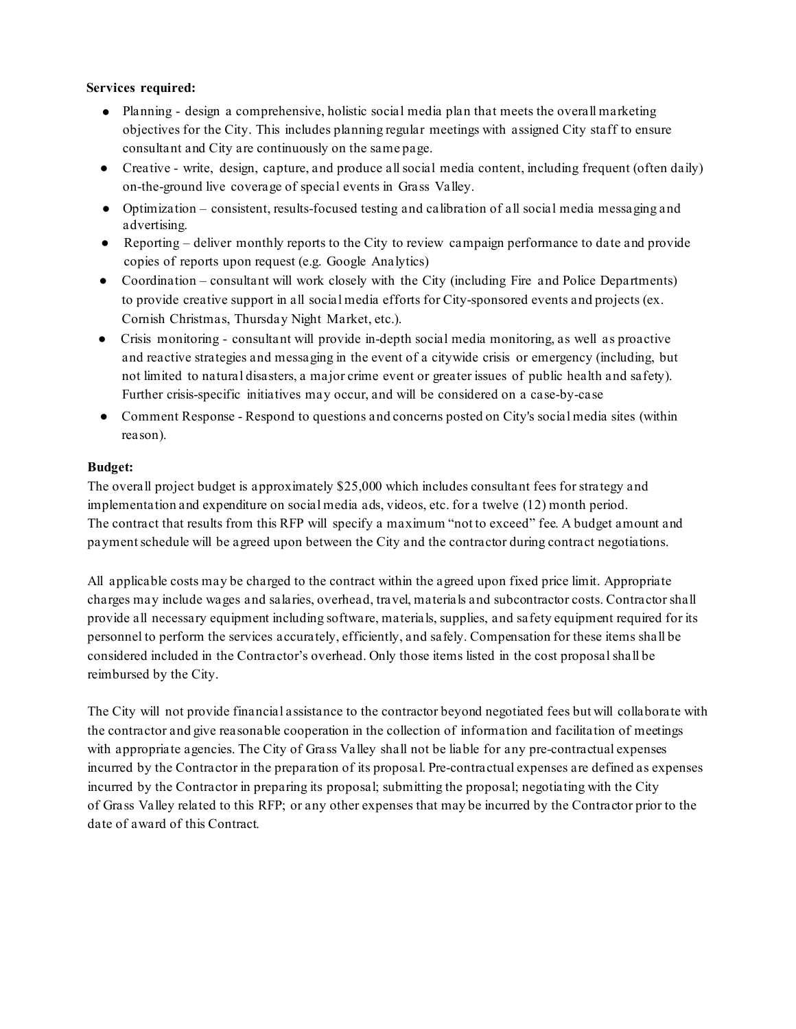## **Services required:**

- Planning design a comprehensive, holistic social media plan that meets the overall marketing objectives for the City. This includes planning regular meetings with assigned City staff to ensure consultant and City are continuously on the same page.
- Creative write, design, capture, and produce allsocial media content, including frequent (often daily) on-the-ground live coverage of special events in Grass Valley.
- Optimization consistent, results-focused testing and calibration of all social media messaging and advertising.
- Reporting deliver monthly reports to the City to review campaign performance to date and provide copies of reports upon request (e.g. Google Analytics)
- Coordination consultant will work closely with the City (including Fire and Police Departments) to provide creative support in all social media efforts for City-sponsored events and projects (ex. Cornish Christmas, Thursday Night Market, etc.).
- Crisis monitoring consultant will provide in-depth social media monitoring, as well as proactive and reactive strategies and messaging in the event of a citywide crisis or emergency (including, but not limited to natural disasters, a major crime event or greater issues of public health and safety). Further crisis-specific initiatives may occur, and will be considered on a case-by-case
- Comment Response Respond to questions and concerns posted on City's social media sites (within reason).

# **Budget:**

The overall project budget is approximately \$25,000 which includes consultant fees for strategy and implementation and expenditure on social media ads, videos, etc. for a twelve (12) month period. The contract that results from this RFP will specify a maximum "not to exceed" fee. A budget amount and paymentschedule will be agreed upon between the City and the contractor during contract negotiations.

All applicable costs may be charged to the contract within the agreed upon fixed price limit. Appropriate charges may include wages and salaries, overhead, travel, materials and subcontractor costs. Contractor shall provide all necessary equipment including software, materials, supplies, and safety equipment required for its personnel to perform the services accurately, efficiently, and safely. Compensation for these items shall be considered included in the Contractor's overhead. Only those items listed in the cost proposalshall be reimbursed by the City.

The City will not provide financial assistance to the contractor beyond negotiated fees but will collaborate with the contractor and give reasonable cooperation in the collection of information and facilitation of meetings with appropriate agencies. The City of Grass Valley shall not be liable for any pre-contractual expenses incurred by the Contractor in the preparation of its proposal. Pre-contractual expenses are defined as expenses incurred by the Contractor in preparing its proposal; submitting the proposal; negotiating with the City of Grass Valley related to this RFP; or any other expenses that may be incurred by the Contractor prior to the date of award of this Contract.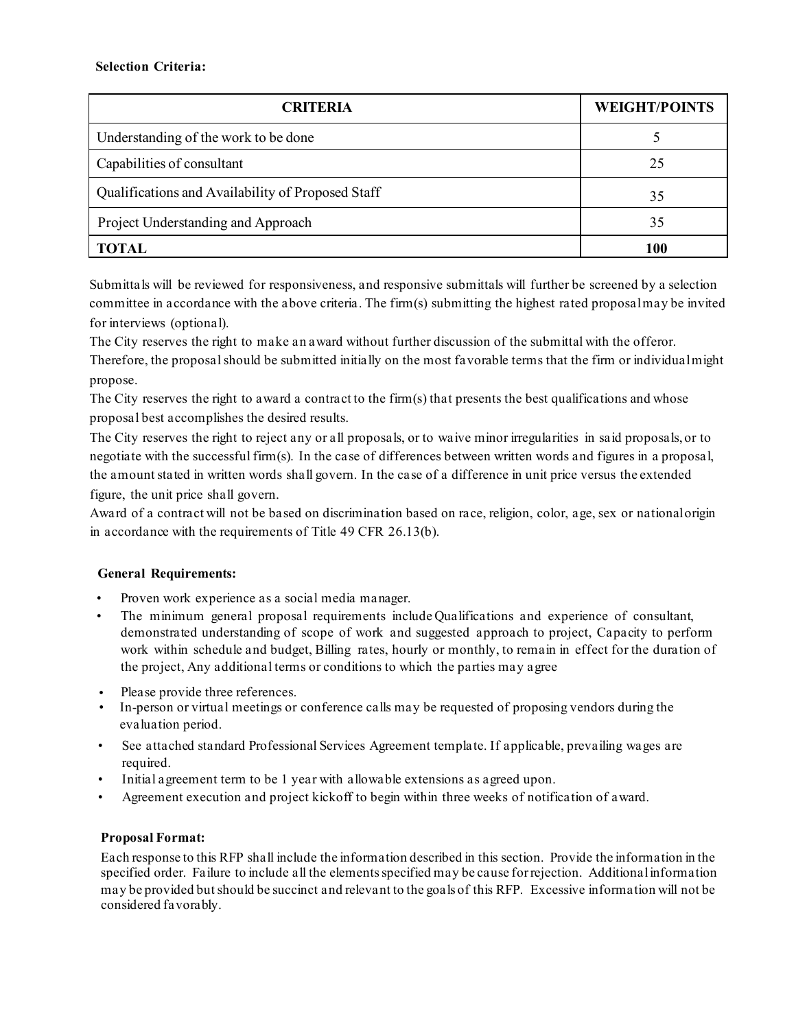| <b>CRITERIA</b>                                   | <b>WEIGHT/POINTS</b> |
|---------------------------------------------------|----------------------|
| Understanding of the work to be done              |                      |
| Capabilities of consultant                        | 25                   |
| Qualifications and Availability of Proposed Staff | 35                   |
| Project Understanding and Approach                | 35                   |
| TOTAL                                             | 100                  |

Submittals will be reviewed for responsiveness, and responsive submittals will further be screened by a selection committee in accordance with the above criteria. The firm(s) submitting the highest rated proposalmay be invited for interviews (optional).

The City reserves the right to make an award without further discussion of the submittal with the offeror. Therefore, the proposalshould be submitted initially on the most favorable terms that the firm or individualmight propose.

The City reserves the right to award a contract to the firm(s) that presents the best qualifications and whose proposal best accomplishes the desired results.

The City reserves the right to reject any or all proposals, or to waive minor irregularities in said proposals, or to negotiate with the successful firm(s). In the case of differences between written words and figures in a proposal, the amount stated in written words shall govern. In the case of a difference in unit price versus the extended figure, the unit price shall govern.

Award of a contract will not be based on discrimination based on race, religion, color, age, sex or nationalorigin in accordance with the requirements of Title 49 CFR 26.13(b).

# **General Requirements:**

- Proven work experience as a social media manager.
- The minimum general proposal requirements include Qualifications and experience of consultant, demonstrated understanding of scope of work and suggested approach to project, Capacity to perform work within schedule and budget, Billing rates, hourly or monthly, to remain in effect for the duration of the project, Any additional terms or conditions to which the parties may agree
- Please provide three references.
- In-person or virtual meetings or conference calls may be requested of proposing vendors during the evaluation period.
- See attached standard Professional Services Agreement template. If applicable, prevailing wages are required.
- Initial agreement term to be 1 year with allowable extensions as agreed upon.
- Agreement execution and project kickoff to begin within three weeks of notification of award.

## **Proposal Format:**

Each response to this RFP shall include the information described in this section. Provide the information in the specified order. Failure to include all the elements specified may be cause for rejection. Additional information may be provided butshould be succinct and relevant to the goals of this RFP. Excessive information will not be considered favorably.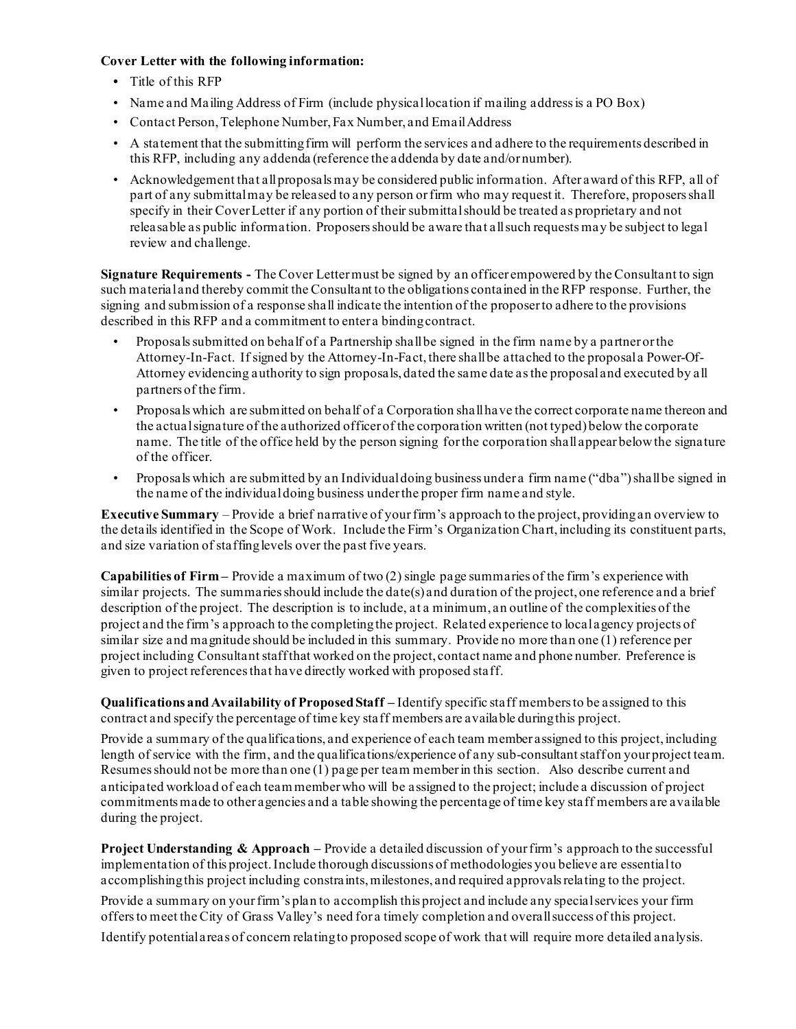### **Cover Letter with the following information:**

- **•** Title of this RFP
- Name and Mailing Address of Firm (include physical location if mailing address is a PO Box)
- Contact Person, Telephone Number, Fax Number, and Email Address
- A statement that the submitting firm will perform the services and adhere to the requirements described in this RFP, including any addenda (reference the addenda by date and/or number).
- Acknowledgement that all proposals may be considered public information. After award of this RFP, all of part of any submittal may be released to any person or firm who may request it. Therefore, proposers shall specify in their Cover Letter if any portion of their submittal should be treated as proprietary and not releasable as public information. Proposers should be aware that all such requests may be subject to legal review and challenge.

**Signature Requirements -** The Cover Letter must be signed by an officer empowered by the Consultant to sign such material and thereby commit the Consultant to the obligations contained in the RFP response. Further, the signing and submission of a response shall indicate the intention of the proposer to adhere to the provisions described in this RFP and a commitment to enter a binding contract.

- Proposals submitted on behalf of a Partnership shall be signed in the firm name by a partner or the Attorney-In-Fact. If signed by the Attorney-In-Fact, there shall be attached to the proposal a Power-Of-Attorney evidencing authority to sign proposals, dated the same date as the proposal and executed by all partners of the firm.
- Proposals which are submitted on behalf of a Corporation shall have the correct corporate name thereon and the actual signature of the authorized officer of the corporation written (not typed) below the corporate name. The title of the office held by the person signing for the corporation shall appear below the signature of the officer.
- Proposals which are submitted by an Individual doing business under a firm name ("dba") shall be signed in the name of the individual doing business under the proper firm name and style.

**Executive Summary** – Provide a brief narrative of your firm's approach to the project, providing an overview to the details identified in the Scope of Work. Include the Firm's Organization Chart, including its constituent parts, and size variation of staffing levels over the past five years.

**Capabilities of Firm –** Provide a maximum of two (2) single page summaries of the firm's experience with similar projects. The summaries should include the date(s) and duration of the project, one reference and a brief description of the project. The description is to include, at a minimum, an outline of the complexities of the project and the firm's approach to the completing the project. Related experience to local agency projects of similar size and magnitude should be included in this summary. Provide no more than one (1) reference per project including Consultant staff that worked on the project, contact name and phone number. Preference is given to project references that have directly worked with proposed staff.

**Qualifications and Availability of ProposedStaff –** Identify specific staff members to be assigned to this contract and specify the percentage of time key staff members are available duringthis project.

Provide a summary of the qualifications, and experience of each team member assigned to this project, including length of service with the firm, and the qualifications/experience of any sub-consultant staff on your project team. Resumes should not be more than one (1) page per team member in this section. Also describe current and anticipated workload of each team member who will be assigned to the project; include a discussion of project commitments made to other agencies and a table showing the percentage of time key staff members are available during the project.

**Project Understanding & Approach –** Provide a detailed discussion of your firm's approach to the successful implementation of this project. Include thorough discussions of methodologies you believe are essential to accomplishing this project including constraints, milestones, and required approvals relating to the project.

Provide a summary on your firm's plan to accomplish this project and include any special services your firm offers to meet the City of Grass Valley's need for a timely completion and overall success of this project.

Identify potential areas of concern relating to proposed scope of work that will require more detailed analysis.